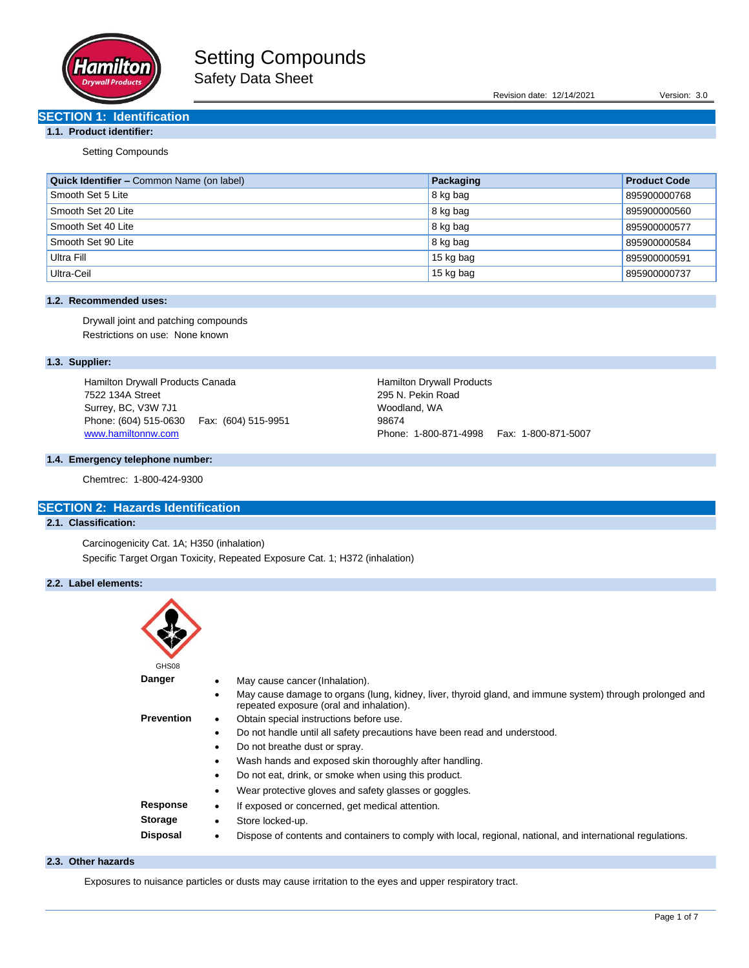

Revision date: 12/14/2021 Version: 3.0

# **SECTION 1: Identification**

# **1.1. Product identifier:**

Setting Compounds

| <b>Quick Identifier – Common Name (on label)</b> | Packaging | <b>Product Code</b> |
|--------------------------------------------------|-----------|---------------------|
| Smooth Set 5 Lite                                | 8 kg bag  | 895900000768        |
| Smooth Set 20 Lite                               | 8 kg bag  | 895900000560        |
| Smooth Set 40 Lite                               | 8 kg bag  | 895900000577        |
| Smooth Set 90 Lite                               | 8 kg bag  | 895900000584        |
| Ultra Fill                                       | 15 kg bag | 895900000591        |
| Ultra-Ceil                                       | 15 kg bag | 895900000737        |

## **1.2. Recommended uses:**

Drywall joint and patching compounds Restrictions on use: None known

# **1.3. Supplier:**

Hamilton Drywall Products Canada 7522 134A Street Surrey, BC, V3W 7J1 Phone: (604) 515-0630 Fax: (604) 515-9951 [www.hamiltonnw.com](http://www.hamiltonnw.com/)

## **1.4. Emergency telephone number:**

Chemtrec: 1-800-424-9300

# **SECTION 2: Hazards Identification**

## **2.1. Classification:**

Carcinogenicity Cat. 1A; H350 (inhalation) Specific Target Organ Toxicity, Repeated Exposure Cat. 1; H372 (inhalation)

## **2.2. Label elements:**

| GHS08             |                                                                                                                                                      |
|-------------------|------------------------------------------------------------------------------------------------------------------------------------------------------|
| Danger            | May cause cancer (Inhalation).                                                                                                                       |
|                   | May cause damage to organs (lung, kidney, liver, thyroid gland, and immune system) through prolonged and<br>repeated exposure (oral and inhalation). |
| <b>Prevention</b> | Obtain special instructions before use.<br>$\bullet$                                                                                                 |
|                   | Do not handle until all safety precautions have been read and understood.<br>$\bullet$                                                               |
|                   | Do not breathe dust or spray.<br>٠                                                                                                                   |
|                   | Wash hands and exposed skin thoroughly after handling.<br>$\bullet$                                                                                  |
|                   | Do not eat, drink, or smoke when using this product.<br>٠                                                                                            |
|                   | Wear protective gloves and safety glasses or goggles.                                                                                                |
| Response          | If exposed or concerned, get medical attention.<br>٠                                                                                                 |
| <b>Storage</b>    | Store locked-up.<br>$\bullet$                                                                                                                        |
| <b>Disposal</b>   | Dispose of contents and containers to comply with local, regional, national, and international regulations.                                          |

Hamilton Drywall Products 295 N. Pekin Road Woodland, WA 98674

Phone: 1-800-871-4998 Fax: 1-800-871-5007

# **2.3. Other hazards**

Exposures to nuisance particles or dusts may cause irritation to the eyes and upper respiratory tract.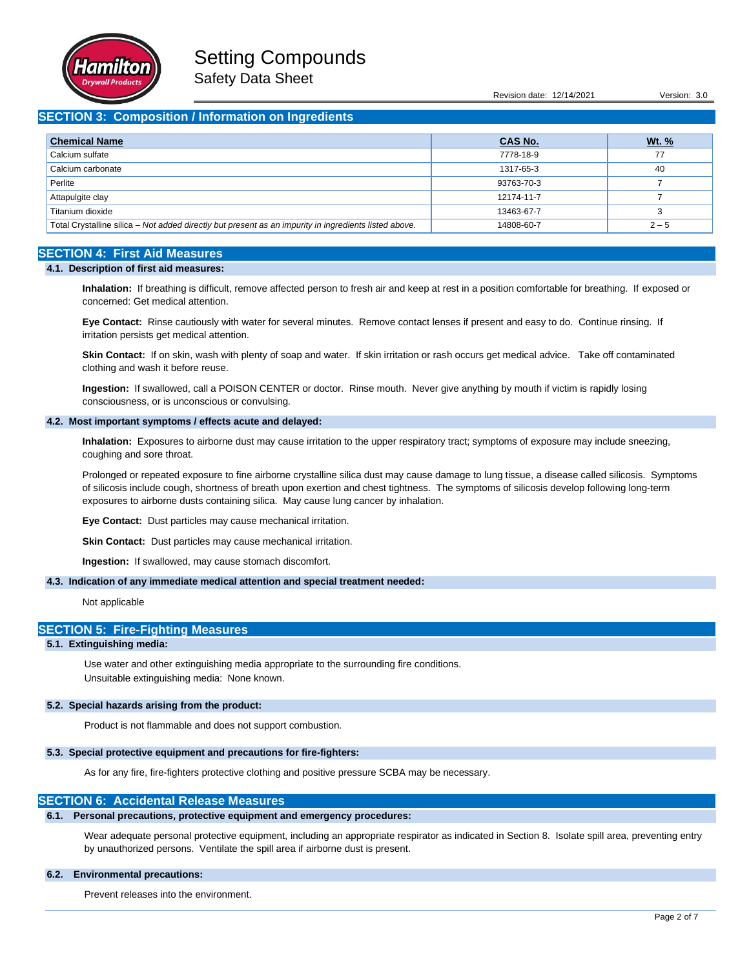

Safety Data Sheet

Revision date: 12/14/2021 Version: 3.0

# **SECTION 3: Composition / Information on Ingredients**

| <b>Chemical Name</b>                                                                                  | <b>CAS No.</b> | <u>Wt. %</u> |
|-------------------------------------------------------------------------------------------------------|----------------|--------------|
| Calcium sulfate                                                                                       | 7778-18-9      | 77           |
| Calcium carbonate                                                                                     | 1317-65-3      | 40           |
| Perlite                                                                                               | 93763-70-3     |              |
| Attapulgite clay                                                                                      | 12174-11-7     |              |
| Titanium dioxide                                                                                      | 13463-67-7     |              |
| Total Crystalline silica - Not added directly but present as an impurity in ingredients listed above. | 14808-60-7     | $2 - 5$      |

## **SECTION 4: First Aid Measures**

### **4.1. Description of first aid measures:**

**Inhalation:** If breathing is difficult, remove affected person to fresh air and keep at rest in a position comfortable for breathing. If exposed or concerned: Get medical attention.

**Eye Contact:** Rinse cautiously with water for several minutes. Remove contact lenses if present and easy to do. Continue rinsing. If irritation persists get medical attention.

**Skin Contact:** If on skin, wash with plenty of soap and water. If skin irritation or rash occurs get medical advice. Take off contaminated clothing and wash it before reuse.

**Ingestion:** If swallowed, call a POISON CENTER or doctor. Rinse mouth. Never give anything by mouth if victim is rapidly losing consciousness, or is unconscious or convulsing.

## **4.2. Most important symptoms / effects acute and delayed:**

**Inhalation:** Exposures to airborne dust may cause irritation to the upper respiratory tract; symptoms of exposure may include sneezing, coughing and sore throat.

Prolonged or repeated exposure to fine airborne crystalline silica dust may cause damage to lung tissue, a disease called silicosis. Symptoms of silicosis include cough, shortness of breath upon exertion and chest tightness. The symptoms of silicosis develop following long-term exposures to airborne dusts containing silica. May cause lung cancer by inhalation.

**Eye Contact:** Dust particles may cause mechanical irritation.

**Skin Contact:** Dust particles may cause mechanical irritation.

**Ingestion:** If swallowed, may cause stomach discomfort.

### **4.3. Indication of any immediate medical attention and special treatment needed:**

Not applicable

## **SECTION 5: Fire-Fighting Measures**

## **5.1. Extinguishing media:**

Use water and other extinguishing media appropriate to the surrounding fire conditions. Unsuitable extinguishing media: None known.

## **5.2. Special hazards arising from the product:**

Product is not flammable and does not support combustion.

## **5.3. Special protective equipment and precautions for fire-fighters:**

As for any fire, fire-fighters protective clothing and positive pressure SCBA may be necessary.

## **SECTION 6: Accidental Release Measures**

### **6.1. Personal precautions, protective equipment and emergency procedures:**

Wear adequate personal protective equipment, including an appropriate respirator as indicated in Section 8. Isolate spill area, preventing entry by unauthorized persons. Ventilate the spill area if airborne dust is present.

## **6.2. Environmental precautions:**

Prevent releases into the environment.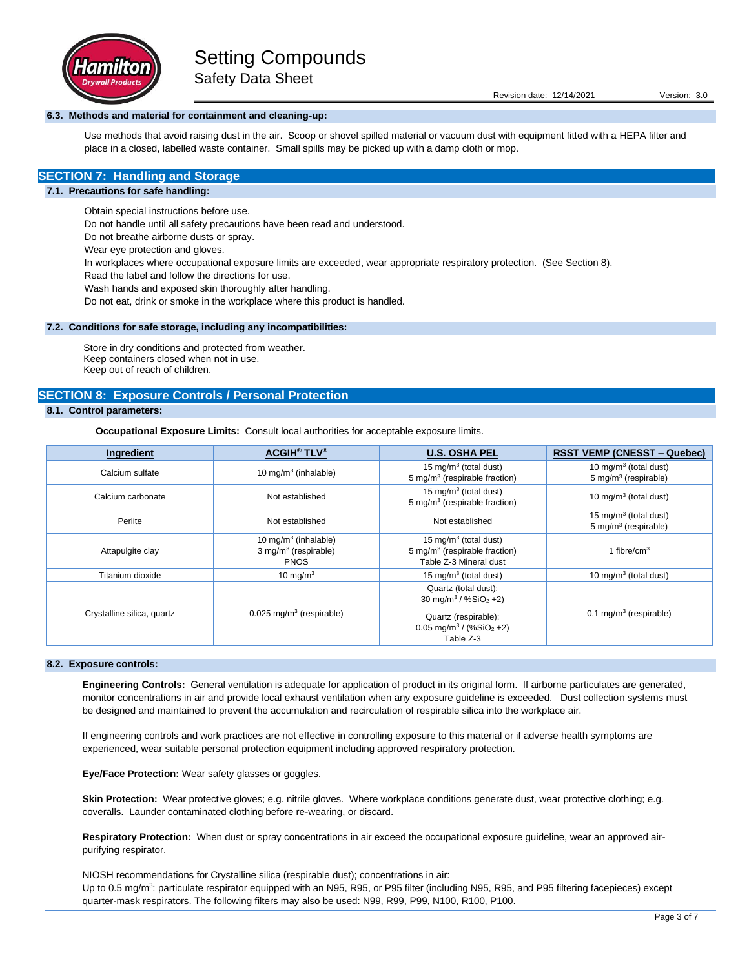

Safety Data Sheet

## **6.3. Methods and material for containment and cleaning-up:**

Use methods that avoid raising dust in the air. Scoop or shovel spilled material or vacuum dust with equipment fitted with a HEPA filter and place in a closed, labelled waste container. Small spills may be picked up with a damp cloth or mop.

# **SECTION 7: Handling and Storage**

### **7.1. Precautions for safe handling:**

Obtain special instructions before use.

Do not handle until all safety precautions have been read and understood.

Do not breathe airborne dusts or spray.

Wear eye protection and gloves.

In workplaces where occupational exposure limits are exceeded, wear appropriate respiratory protection. (See Section 8).

Read the label and follow the directions for use.

Wash hands and exposed skin thoroughly after handling.

Do not eat, drink or smoke in the workplace where this product is handled.

### **7.2. Conditions for safe storage, including any incompatibilities:**

Store in dry conditions and protected from weather. Keep containers closed when not in use. Keep out of reach of children.

## **SECTION 8: Exposure Controls / Personal Protection**

# **8.1. Control parameters:**

**Occupational Exposure Limits:** Consult local authorities for acceptable exposure limits.

| Ingredient                 | <b>ACGIH<sup>®</sup> TLV<sup>®</sup></b>                                              | <b>U.S. OSHA PEL</b>                                                                                                                              | <b>RSST VEMP (CNESST – Quebec)</b>                                    |
|----------------------------|---------------------------------------------------------------------------------------|---------------------------------------------------------------------------------------------------------------------------------------------------|-----------------------------------------------------------------------|
| Calcium sulfate            | 10 mg/m $3$ (inhalable)                                                               | 15 mg/m <sup>3</sup> (total dust)<br>5 mg/m <sup>3</sup> (respirable fraction)                                                                    | 10 mg/m <sup>3</sup> (total dust)<br>$5 \text{ mg/m}^3$ (respirable)  |
| Calcium carbonate          | Not established                                                                       | 15 mg/m <sup>3</sup> (total dust)<br>5 mg/m <sup>3</sup> (respirable fraction)                                                                    | 10 mg/m <sup>3</sup> (total dust)                                     |
| Perlite                    | Not established                                                                       | Not established                                                                                                                                   | 15 mg/m <sup>3</sup> (total dust)<br>5 mg/m <sup>3</sup> (respirable) |
| Attapulgite clay           | 10 mg/m <sup>3</sup> (inhalable)<br>$3$ mg/m <sup>3</sup> (respirable)<br><b>PNOS</b> | 15 mg/m <sup>3</sup> (total dust)<br>5 mg/m <sup>3</sup> (respirable fraction)<br>Table Z-3 Mineral dust                                          | 1 fibre/cm <sup>3</sup>                                               |
| Titanium dioxide           | 10 mg/m $3$                                                                           | 15 mg/m <sup>3</sup> (total dust)                                                                                                                 | 10 mg/m $3$ (total dust)                                              |
| Crystalline silica, quartz | $0.025$ mg/m <sup>3</sup> (respirable)                                                | Quartz (total dust):<br>30 mg/m <sup>3</sup> / %SiO <sub>2</sub> +2)<br>Quartz (respirable):<br>$0.05$ mg/m <sup>3</sup> / (%SiO <sub>2</sub> +2) | $0.1 \text{ mg/m}^3$ (respirable)                                     |
|                            |                                                                                       | Table Z-3                                                                                                                                         |                                                                       |

## **8.2. Exposure controls:**

**Engineering Controls:** General ventilation is adequate for application of product in its original form. If airborne particulates are generated, monitor concentrations in air and provide local exhaust ventilation when any exposure guideline is exceeded. Dust collection systems must be designed and maintained to prevent the accumulation and recirculation of respirable silica into the workplace air.

If engineering controls and work practices are not effective in controlling exposure to this material or if adverse health symptoms are experienced, wear suitable personal protection equipment including approved respiratory protection.

**Eye/Face Protection:** Wear safety glasses or goggles.

Skin Protection: Wear protective gloves; e.g. nitrile gloves. Where workplace conditions generate dust, wear protective clothing; e.g. coveralls. Launder contaminated clothing before re-wearing, or discard.

**Respiratory Protection:** When dust or spray concentrations in air exceed the occupational exposure guideline, wear an approved airpurifying respirator.

NIOSH recommendations for Crystalline silica (respirable dust); concentrations in air: Up to 0.5 mg/m<sup>3</sup>: particulate respirator equipped with an N95, R95, or P95 filter (including N95, R95, and P95 filtering facepieces) except quarter-mask respirators. The following filters may also be used: N99, R99, P99, N100, R100, P100.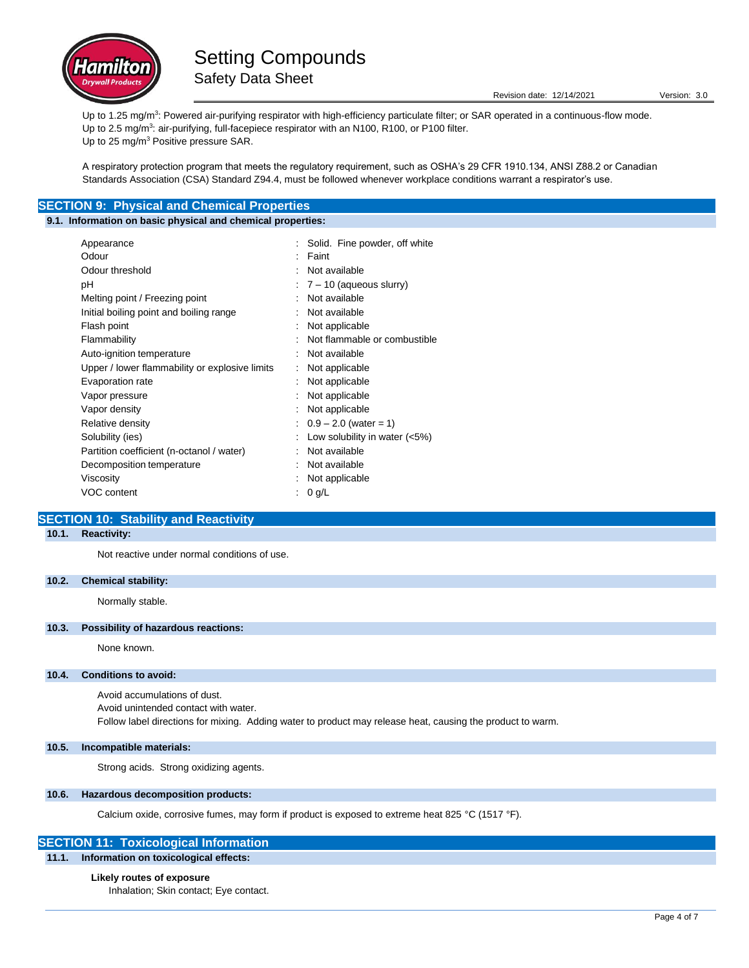

Up to 1.25 mg/m<sup>3</sup>: Powered air-purifying respirator with high-efficiency particulate filter; or SAR operated in a continuous-flow mode. Up to 2.5 mg/m<sup>3</sup>: air-purifying, full-facepiece respirator with an N100, R100, or P100 filter. Up to 25 mg/m<sup>3</sup> Positive pressure SAR.

A respiratory protection program that meets the regulatory requirement, such as OSHA's 29 CFR 1910.134, ANSI Z88.2 or Canadian Standards Association (CSA) Standard Z94.4, must be followed whenever workplace conditions warrant a respirator's use.

# **SECTION 9: Physical and Chemical Properties**

## **9.1. Information on basic physical and chemical properties:**

| Appearance                                     | : Solid. Fine powder, off white    |
|------------------------------------------------|------------------------------------|
| Odour                                          | $:$ Faint                          |
| Odour threshold                                | Not available                      |
| рH                                             | $\div$ 7 – 10 (aqueous slurry)     |
| Melting point / Freezing point                 | Not available                      |
| Initial boiling point and boiling range        | Not available                      |
| Flash point                                    | Not applicable                     |
| Flammability                                   | Not flammable or combustible       |
| Auto-ignition temperature                      | Not available                      |
| Upper / lower flammability or explosive limits | Not applicable                     |
| Evaporation rate                               | Not applicable                     |
| Vapor pressure                                 | Not applicable                     |
| Vapor density                                  | : Not applicable                   |
| Relative density                               | $\therefore$ 0.9 – 2.0 (water = 1) |
| Solubility (ies)                               | Low solubility in water $(<5\%)$   |
| Partition coefficient (n-octanol / water)      | Not available                      |
| Decomposition temperature                      | Not available                      |
| Viscosity                                      | Not applicable                     |
| VOC content                                    | $0$ g/L                            |
|                                                |                                    |

# **SECTION 10: Stability and Reactivity**

# **10.1. Reactivity:**

Not reactive under normal conditions of use.

## **10.2. Chemical stability:**

Normally stable.

## **10.3. Possibility of hazardous reactions:**

None known.

### **10.4. Conditions to avoid:**

Avoid accumulations of dust. Avoid unintended contact with water. Follow label directions for mixing. Adding water to product may release heat, causing the product to warm.

**10.5. Incompatible materials:**

Strong acids. Strong oxidizing agents.

## **10.6. Hazardous decomposition products:**

Calcium oxide, corrosive fumes, may form if product is exposed to extreme heat 825 °C (1517 °F).

## **SECTION 11: Toxicological Information**

## **11.1. Information on toxicological effects:**

### **Likely routes of exposure**

Inhalation; Skin contact; Eye contact.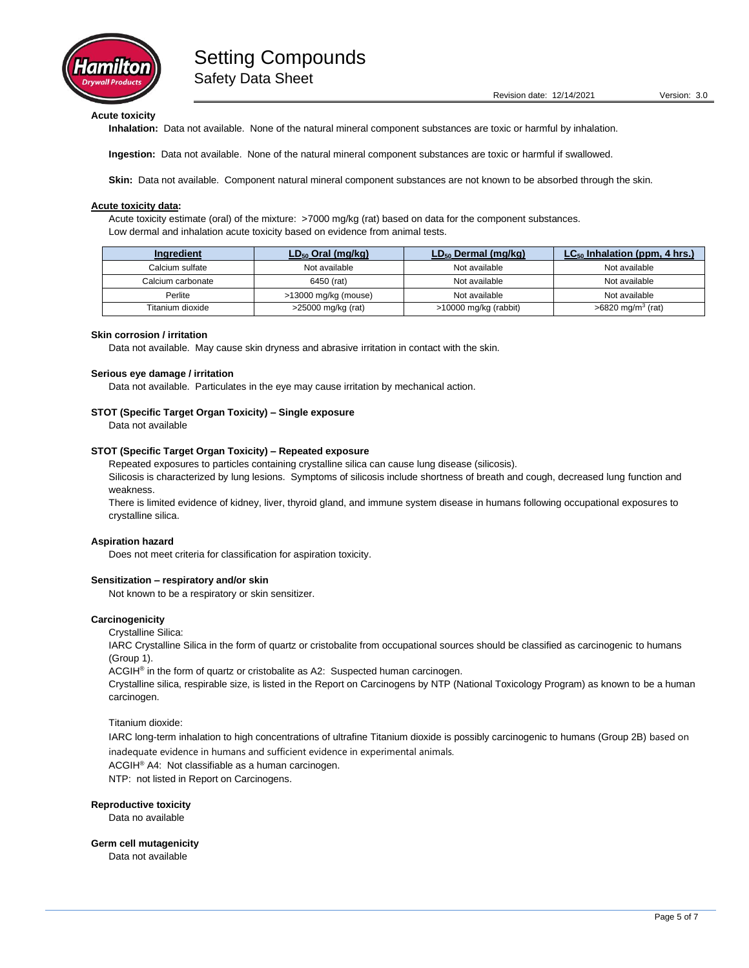

Revision date: 12/14/2021 Version: 3.0

**Acute toxicity**

**Inhalation:** Data not available. None of the natural mineral component substances are toxic or harmful by inhalation.

**Ingestion:** Data not available. None of the natural mineral component substances are toxic or harmful if swallowed.

**Skin:** Data not available. Component natural mineral component substances are not known to be absorbed through the skin.

## **Acute toxicity data:**

Acute toxicity estimate (oral) of the mixture: >7000 mg/kg (rat) based on data for the component substances. Low dermal and inhalation acute toxicity based on evidence from animal tests.

| Ingredient        | $LD_{50}$ Oral (mg/kg) | $LD_{50}$ Dermal (mg/kg) | $LC_{50}$ Inhalation (ppm, 4 hrs.) |
|-------------------|------------------------|--------------------------|------------------------------------|
| Calcium sulfate   | Not available          | Not available            | Not available                      |
| Calcium carbonate | 6450 (rat)             | Not available            | Not available                      |
| Perlite           | >13000 mg/kg (mouse)   | Not available            | Not available                      |
| Titanium dioxide  | >25000 mg/kg (rat)     | >10000 mg/kg (rabbit)    | $>6820$ mg/m <sup>3</sup> (rat)    |

#### **Skin corrosion / irritation**

Data not available. May cause skin dryness and abrasive irritation in contact with the skin.

#### **Serious eye damage / irritation**

Data not available. Particulates in the eye may cause irritation by mechanical action.

### **STOT (Specific Target Organ Toxicity) – Single exposure**

Data not available

### **STOT (Specific Target Organ Toxicity) – Repeated exposure**

Repeated exposures to particles containing crystalline silica can cause lung disease (silicosis).

Silicosis is characterized by lung lesions. Symptoms of silicosis include shortness of breath and cough, decreased lung function and weakness.

There is limited evidence of kidney, liver, thyroid gland, and immune system disease in humans following occupational exposures to crystalline silica.

#### **Aspiration hazard**

Does not meet criteria for classification for aspiration toxicity.

### **Sensitization – respiratory and/or skin**

Not known to be a respiratory or skin sensitizer.

### **Carcinogenicity**

Crystalline Silica:

IARC Crystalline Silica in the form of quartz or cristobalite from occupational sources should be classified as carcinogenic to humans (Group 1).

ACGIH<sup>®</sup> in the form of quartz or cristobalite as A2: Suspected human carcinogen.

Crystalline silica, respirable size, is listed in the Report on Carcinogens by NTP (National Toxicology Program) as known to be a human carcinogen.

Titanium dioxide:

IARC long-term inhalation to high concentrations of ultrafine Titanium dioxide is possibly carcinogenic to humans (Group 2B) based on inadequate evidence in humans and sufficient evidence in experimental animals.

ACGIH® A4: Not classifiable as a human carcinogen.

NTP: not listed in Report on Carcinogens.

### **Reproductive toxicity**

Data no available

#### **Germ cell mutagenicity**

Data not available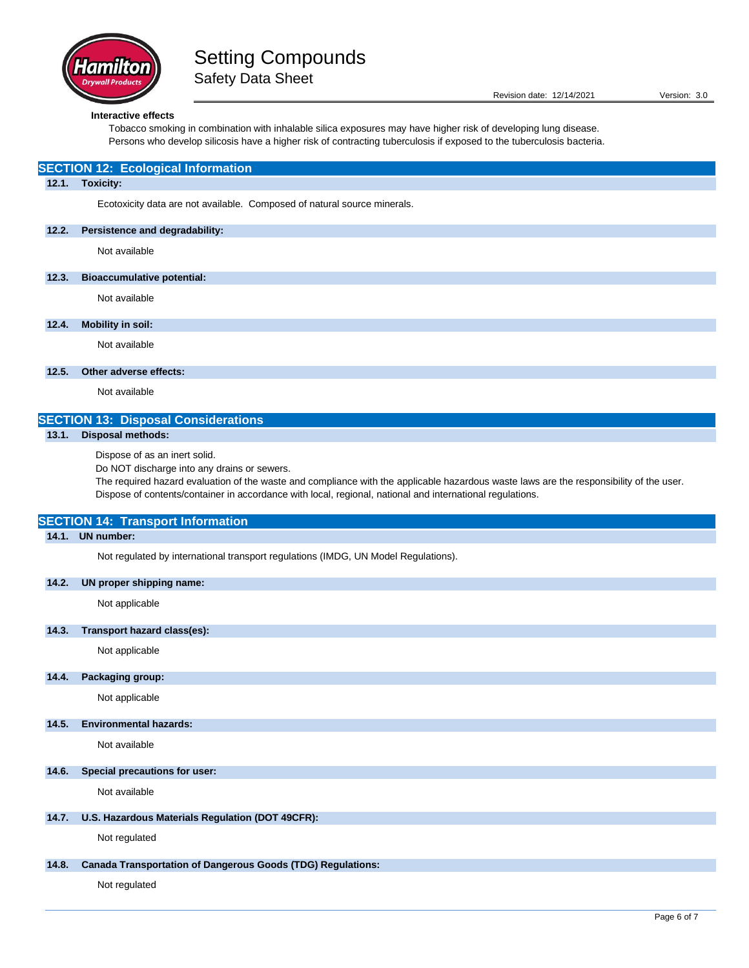

**12.1. Toxicity:**

Safety Data Sheet

Ecotoxicity data are not available. Composed of natural source minerals.

## **Interactive effects**

**SECTION 12: Ecological Information**

**12.2. Persistence and degradability:** Not available

Tobacco smoking in combination with inhalable silica exposures may have higher risk of developing lung disease. Persons who develop silicosis have a higher risk of contracting tuberculosis if exposed to the tuberculosis bacteria.

| 12.3. | <b>Bioaccumulative potential:</b>                                                                                                                                                                                                                                                                                                    |
|-------|--------------------------------------------------------------------------------------------------------------------------------------------------------------------------------------------------------------------------------------------------------------------------------------------------------------------------------------|
|       | Not available                                                                                                                                                                                                                                                                                                                        |
| 12.4. | <b>Mobility in soil:</b>                                                                                                                                                                                                                                                                                                             |
|       | Not available                                                                                                                                                                                                                                                                                                                        |
| 12.5. | Other adverse effects:                                                                                                                                                                                                                                                                                                               |
|       | Not available                                                                                                                                                                                                                                                                                                                        |
|       | <b>SECTION 13: Disposal Considerations</b>                                                                                                                                                                                                                                                                                           |
| 13.1. | <b>Disposal methods:</b>                                                                                                                                                                                                                                                                                                             |
|       | Dispose of as an inert solid.<br>Do NOT discharge into any drains or sewers.<br>The required hazard evaluation of the waste and compliance with the applicable hazardous waste laws are the responsibility of the user.<br>Dispose of contents/container in accordance with local, regional, national and international regulations. |
|       | <b>SECTION 14: Transport Information</b>                                                                                                                                                                                                                                                                                             |
| 14.1. | <b>UN</b> number:                                                                                                                                                                                                                                                                                                                    |
|       | Not regulated by international transport regulations (IMDG, UN Model Regulations).                                                                                                                                                                                                                                                   |
| 14.2. | UN proper shipping name:                                                                                                                                                                                                                                                                                                             |
|       | Not applicable                                                                                                                                                                                                                                                                                                                       |
| 14.3. | Transport hazard class(es):                                                                                                                                                                                                                                                                                                          |
|       | Not applicable                                                                                                                                                                                                                                                                                                                       |
| 14.4. | Packaging group:                                                                                                                                                                                                                                                                                                                     |
|       | Not applicable                                                                                                                                                                                                                                                                                                                       |
| 14.5. | <b>Environmental hazards:</b>                                                                                                                                                                                                                                                                                                        |
|       | Not available                                                                                                                                                                                                                                                                                                                        |
| 14.6. | Special precautions for user:                                                                                                                                                                                                                                                                                                        |
|       | Not available                                                                                                                                                                                                                                                                                                                        |
| 14.7. | U.S. Hazardous Materials Regulation (DOT 49CFR):                                                                                                                                                                                                                                                                                     |
|       | Not regulated                                                                                                                                                                                                                                                                                                                        |
| 14.8. | <b>Canada Transportation of Dangerous Goods (TDG) Regulations:</b>                                                                                                                                                                                                                                                                   |
|       | Not regulated                                                                                                                                                                                                                                                                                                                        |
|       | Page 6 of 7                                                                                                                                                                                                                                                                                                                          |